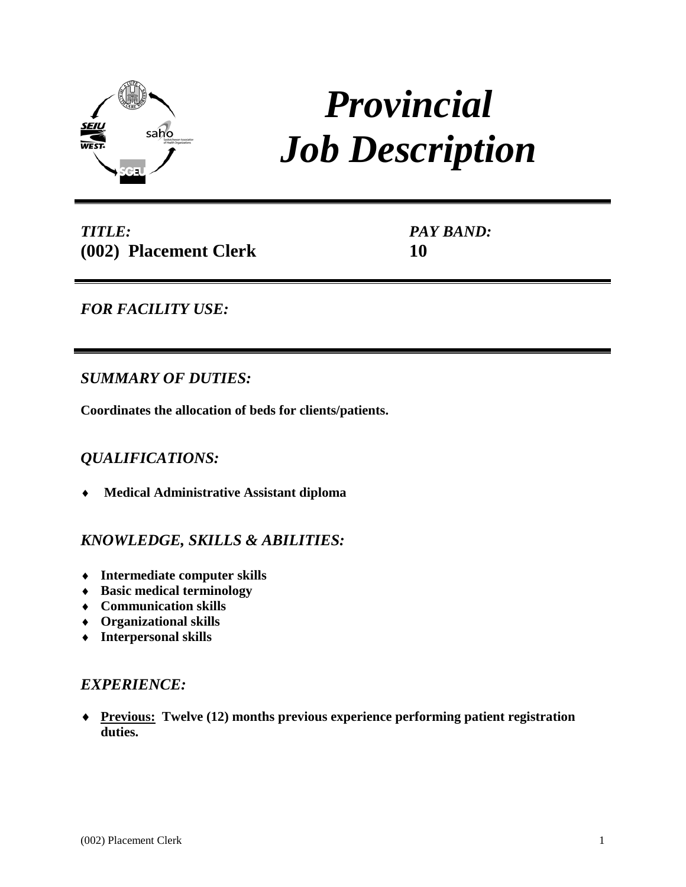

# *Provincial Job Description*

*TITLE:* **(002) Placement Clerk** *PAY BAND:* **10**

# *FOR FACILITY USE:*

# *SUMMARY OF DUTIES:*

**Coordinates the allocation of beds for clients/patients.**

# *QUALIFICATIONS:*

♦ **Medical Administrative Assistant diploma**

## *KNOWLEDGE, SKILLS & ABILITIES:*

- ♦ **Intermediate computer skills**
- ♦ **Basic medical terminology**
- ♦ **Communication skills**
- ♦ **Organizational skills**
- ♦ **Interpersonal skills**

## *EXPERIENCE:*

♦ **Previous: Twelve (12) months previous experience performing patient registration duties.**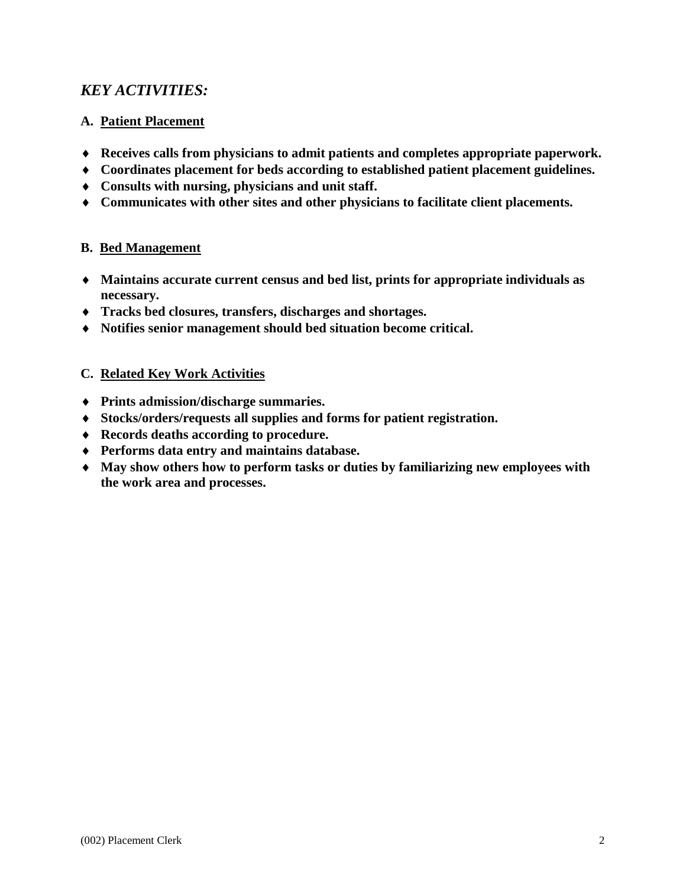# *KEY ACTIVITIES:*

## **A. Patient Placement**

- ♦ **Receives calls from physicians to admit patients and completes appropriate paperwork.**
- ♦ **Coordinates placement for beds according to established patient placement guidelines.**
- ♦ **Consults with nursing, physicians and unit staff.**
- ♦ **Communicates with other sites and other physicians to facilitate client placements.**

## **B. Bed Management**

- ♦ **Maintains accurate current census and bed list, prints for appropriate individuals as necessary.**
- ♦ **Tracks bed closures, transfers, discharges and shortages.**
- ♦ **Notifies senior management should bed situation become critical.**

## **C. Related Key Work Activities**

- ♦ **Prints admission/discharge summaries.**
- ♦ **Stocks/orders/requests all supplies and forms for patient registration.**
- ♦ **Records deaths according to procedure.**
- ♦ **Performs data entry and maintains database.**
- ♦ **May show others how to perform tasks or duties by familiarizing new employees with the work area and processes.**